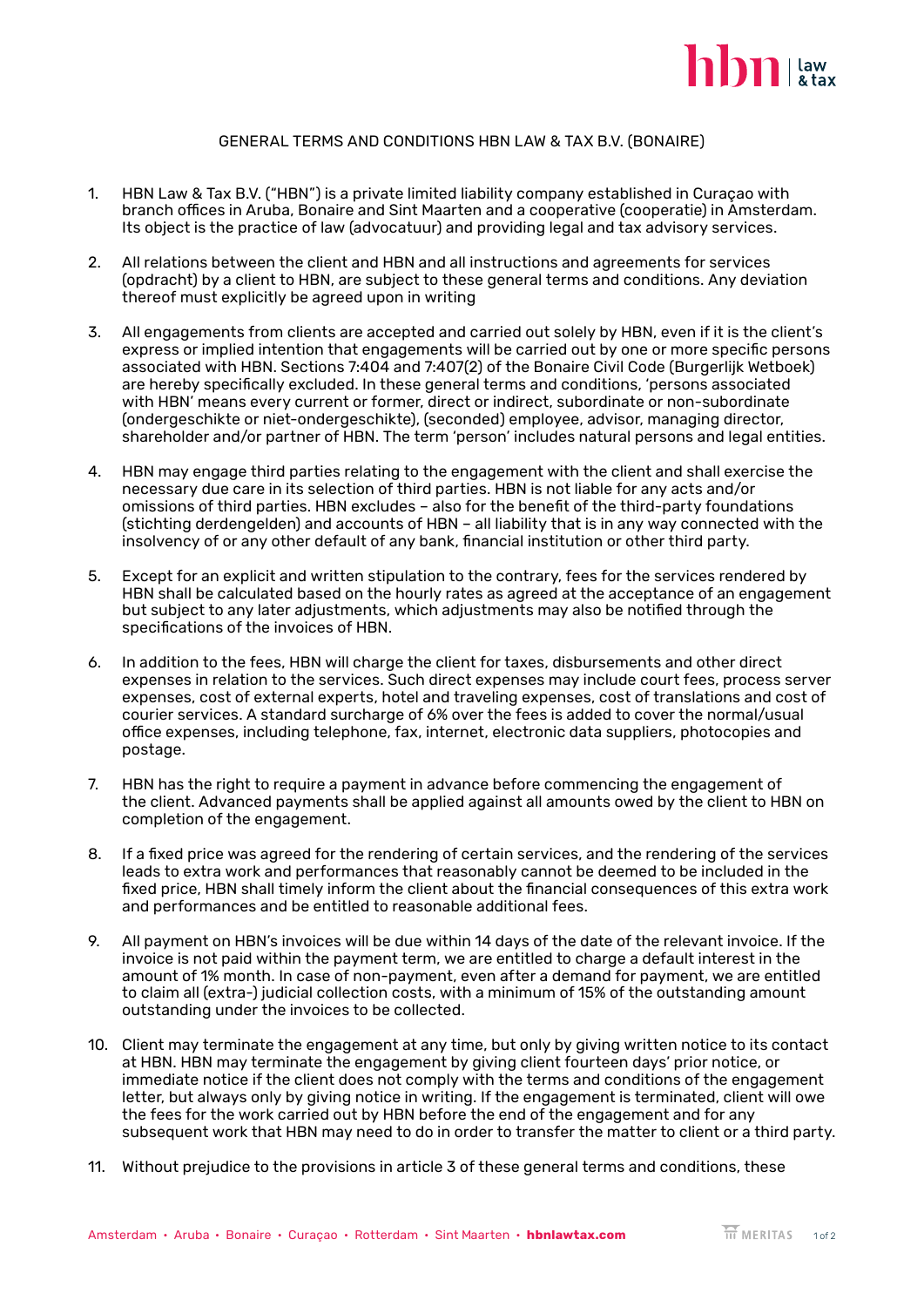

## GENERAL TERMS AND CONDITIONS HBN LAW & TAX B.V. (BONAIRE)

- 1. HBN Law & Tax B.V. ("HBN") is a private limited liability company established in Curaçao with branch offices in Aruba, Bonaire and Sint Maarten and a cooperative (cooperatie) in Amsterdam. Its object is the practice of law (advocatuur) and providing legal and tax advisory services.
- 2. All relations between the client and HBN and all instructions and agreements for services (opdracht) by a client to HBN, are subject to these general terms and conditions. Any deviation thereof must explicitly be agreed upon in writing
- 3. All engagements from clients are accepted and carried out solely by HBN, even if it is the client's express or implied intention that engagements will be carried out by one or more specific persons associated with HBN. Sections 7:404 and 7:407(2) of the Bonaire Civil Code (Burgerlijk Wetboek) are hereby specifically excluded. In these general terms and conditions, 'persons associated with HBN' means every current or former, direct or indirect, subordinate or non-subordinate (ondergeschikte or niet-ondergeschikte), (seconded) employee, advisor, managing director, shareholder and/or partner of HBN. The term 'person' includes natural persons and legal entities.
- 4. HBN may engage third parties relating to the engagement with the client and shall exercise the necessary due care in its selection of third parties. HBN is not liable for any acts and/or omissions of third parties. HBN excludes – also for the benefit of the third-party foundations (stichting derdengelden) and accounts of HBN – all liability that is in any way connected with the insolvency of or any other default of any bank, financial institution or other third party.
- 5. Except for an explicit and written stipulation to the contrary, fees for the services rendered by HBN shall be calculated based on the hourly rates as agreed at the acceptance of an engagement but subject to any later adjustments, which adjustments may also be notified through the specifications of the invoices of HBN.
- 6. In addition to the fees, HBN will charge the client for taxes, disbursements and other direct expenses in relation to the services. Such direct expenses may include court fees, process server expenses, cost of external experts, hotel and traveling expenses, cost of translations and cost of courier services. A standard surcharge of 6% over the fees is added to cover the normal/usual office expenses, including telephone, fax, internet, electronic data suppliers, photocopies and postage.
- 7. HBN has the right to require a payment in advance before commencing the engagement of the client. Advanced payments shall be applied against all amounts owed by the client to HBN on completion of the engagement.
- 8. If a fixed price was agreed for the rendering of certain services, and the rendering of the services leads to extra work and performances that reasonably cannot be deemed to be included in the fixed price, HBN shall timely inform the client about the financial consequences of this extra work and performances and be entitled to reasonable additional fees.
- 9. All payment on HBN's invoices will be due within 14 days of the date of the relevant invoice. If the invoice is not paid within the payment term, we are entitled to charge a default interest in the amount of 1% month. In case of non-payment, even after a demand for payment, we are entitled to claim all (extra-) judicial collection costs, with a minimum of 15% of the outstanding amount outstanding under the invoices to be collected.
- 10. Client may terminate the engagement at any time, but only by giving written notice to its contact at HBN. HBN may terminate the engagement by giving client fourteen days' prior notice, or immediate notice if the client does not comply with the terms and conditions of the engagement letter, but always only by giving notice in writing. If the engagement is terminated, client will owe the fees for the work carried out by HBN before the end of the engagement and for any subsequent work that HBN may need to do in order to transfer the matter to client or a third party.
- 11. Without prejudice to the provisions in article 3 of these general terms and conditions, these